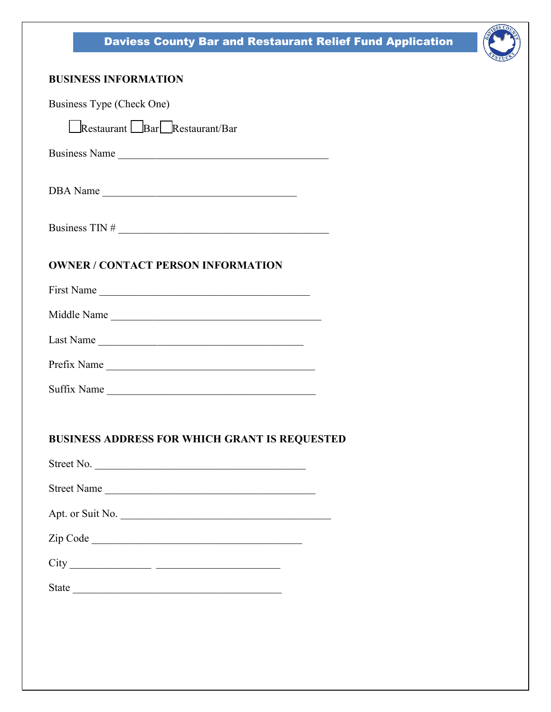# Daviess County Bar and Restaurant Relief Fund Application



### **BUSINESS INFORMATION**

| Business Type (Check One)                                          |
|--------------------------------------------------------------------|
| Restaurant Bar Restaurant/Bar                                      |
| Business Name                                                      |
|                                                                    |
| Business TIN $#$                                                   |
| <b>OWNER / CONTACT PERSON INFORMATION</b>                          |
| First Name                                                         |
| Middle Name                                                        |
|                                                                    |
| Prefix Name                                                        |
| Suffix Name                                                        |
| <b>BUSINESS ADDRESS FOR WHICH GRANT IS REQUESTED</b><br>Street No. |
| Street Name                                                        |
| Apt. or Suit No.                                                   |
|                                                                    |
|                                                                    |
|                                                                    |
|                                                                    |
|                                                                    |
|                                                                    |
|                                                                    |